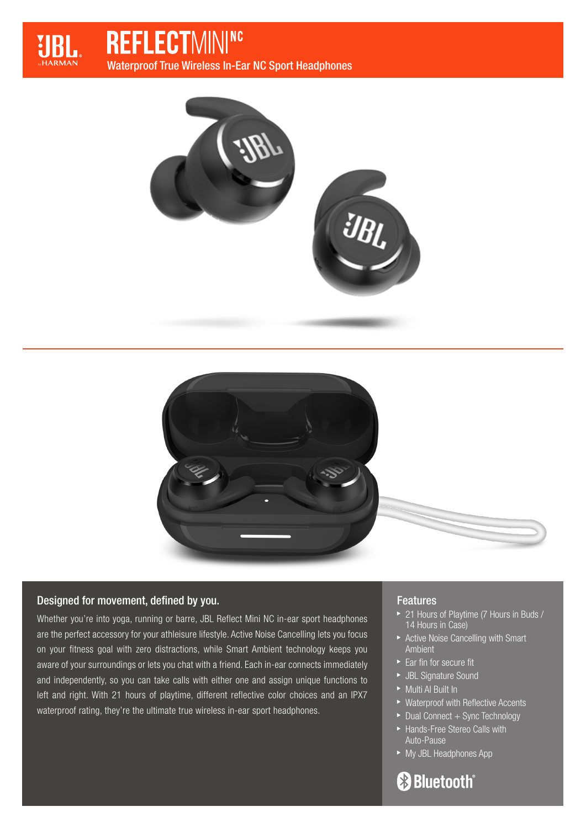

# **REFLECTMINING**

Waterproof True Wireless In-Ear NC Sport Headphones





## Designed for movement, defined by you.

Whether you're into yoga, running or barre, JBL Reflect Mini NC in-ear sport headphones are the perfect accessory for your athleisure lifestyle. Active Noise Cancelling lets you focus on your fitness goal with zero distractions, while Smart Ambient technology keeps you aware of your surroundings or lets you chat with a friend. Each in-ear connects immediately and independently, so you can take calls with either one and assign unique functions to left and right. With 21 hours of playtime, different reflective color choices and an IPX7 waterproof rating, they're the ultimate true wireless in-ear sport headphones.

## Features

- ▶ 21 Hours of Playtime (7 Hours in Buds / 14 Hours in Case)
- Active Noise Cancelling with Smart Ambient
- $\blacktriangleright$  Ear fin for secure fit
- JBL Signature Sound
- Multi AI Built In
- ▶ Waterproof with Reflective Accents
- $\blacktriangleright$  Dual Connect + Sync Technology
- Hands-Free Stereo Calls with Auto-Pause
- ► My JBL Headphones App